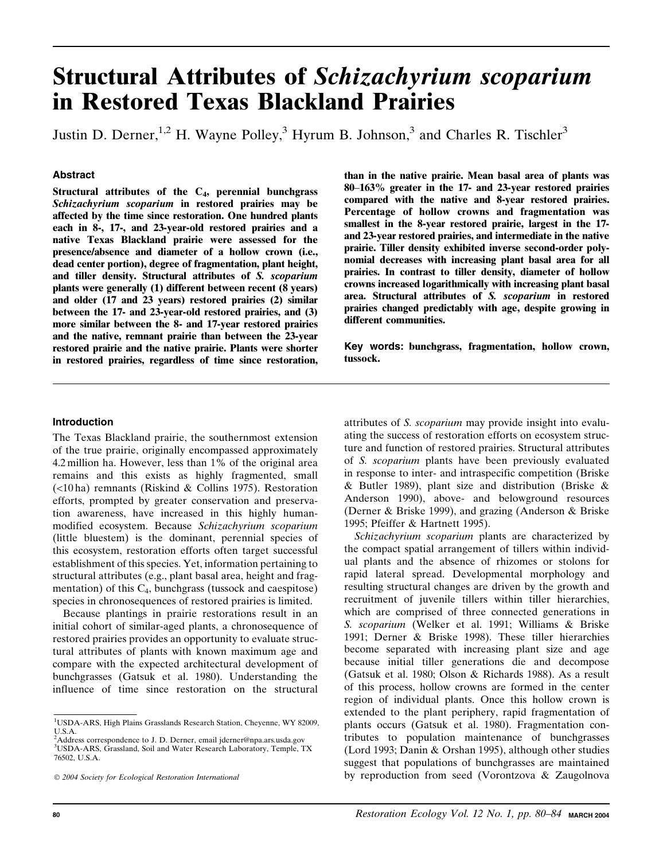# Structural Attributes of Schizachyrium scoparium in Restored Texas Blackland Prairies

Justin D. Derner,<sup>1,2</sup> H. Wayne Polley,<sup>3</sup> Hyrum B. Johnson,<sup>3</sup> and Charles R. Tischler<sup>3</sup>

## Abstract

Structural attributes of the  $C_4$ , perennial bunchgrass Schizachyrium scoparium in restored prairies may be affected by the time since restoration. One hundred plants each in 8-, 17-, and 23-year-old restored prairies and a native Texas Blackland prairie were assessed for the presence/absence and diameter of a hollow crown (i.e., dead center portion), degree of fragmentation, plant height, and tiller density. Structural attributes of S. scoparium plants were generally (1) different between recent (8 years) and older (17 and 23 years) restored prairies (2) similar between the 17- and 23-year-old restored prairies, and (3) more similar between the 8- and 17-year restored prairies and the native, remnant prairie than between the 23-year restored prairie and the native prairie. Plants were shorter in restored prairies, regardless of time since restoration, than in the native prairie. Mean basal area of plants was  $80-163\%$  greater in the 17- and 23-year restored prairies compared with the native and 8-year restored prairies. Percentage of hollow crowns and fragmentation was smallest in the 8-year restored prairie, largest in the 17 and 23-year restored prairies, and intermediate in the native prairie. Tiller density exhibited inverse second-order polynomial decreases with increasing plant basal area for all prairies. In contrast to tiller density, diameter of hollow crowns increased logarithmically with increasing plant basal area. Structural attributes of S. scoparium in restored prairies changed predictably with age, despite growing in different communities.

Key words: bunchgrass, fragmentation, hollow crown, tussock.

#### Introduction

The Texas Blackland prairie, the southernmost extension of the true prairie, originally encompassed approximately 4.2 million ha. However, less than 1% of the original area remains and this exists as highly fragmented, small (<10 ha) remnants (Riskind & Collins 1975). Restoration efforts, prompted by greater conservation and preservation awareness, have increased in this highly humanmodified ecosystem. Because Schizachyrium scoparium (little bluestem) is the dominant, perennial species of this ecosystem, restoration efforts often target successful establishment of this species. Yet, information pertaining to structural attributes (e.g., plant basal area, height and fragmentation) of this  $C_4$ , bunchgrass (tussock and caespitose) species in chronosequences of restored prairies is limited.

Because plantings in prairie restorations result in an initial cohort of similar-aged plants, a chronosequence of restored prairies provides an opportunity to evaluate structural attributes of plants with known maximum age and compare with the expected architectural development of bunchgrasses (Gatsuk et al. 1980). Understanding the influence of time since restoration on the structural attributes of S. scoparium may provide insight into evaluating the success of restoration efforts on ecosystem structure and function of restored prairies. Structural attributes of S. scoparium plants have been previously evaluated in response to inter- and intraspecific competition (Briske & Butler 1989), plant size and distribution (Briske & Anderson 1990), above- and belowground resources (Derner & Briske 1999), and grazing (Anderson & Briske 1995; Pfeiffer & Hartnett 1995).

Schizachyrium scoparium plants are characterized by the compact spatial arrangement of tillers within individual plants and the absence of rhizomes or stolons for rapid lateral spread. Developmental morphology and resulting structural changes are driven by the growth and recruitment of juvenile tillers within tiller hierarchies, which are comprised of three connected generations in S. scoparium (Welker et al. 1991; Williams & Briske 1991; Derner & Briske 1998). These tiller hierarchies become separated with increasing plant size and age because initial tiller generations die and decompose (Gatsuk et al. 1980; Olson & Richards 1988). As a result of this process, hollow crowns are formed in the center region of individual plants. Once this hollow crown is extended to the plant periphery, rapid fragmentation of plants occurs (Gatsuk et al. 1980). Fragmentation contributes to population maintenance of bunchgrasses (Lord 1993; Danin & Orshan 1995), although other studies suggest that populations of bunchgrasses are maintained by reproduction from seed (Vorontzova & Zaugolnova

<sup>&</sup>lt;sup>1</sup>USDA-ARS, High Plains Grasslands Research Station, Cheyenne, WY 82009, U.S.A.

<sup>&</sup>lt;sup>2</sup>Address correspondence to J. D. Derner, email jderner@npa.ars.usda.gov 3 USDA-ARS, Grassland, Soil and Water Research Laboratory, Temple, TX 76502, U.S.A.

2004 Society for Ecological Restoration International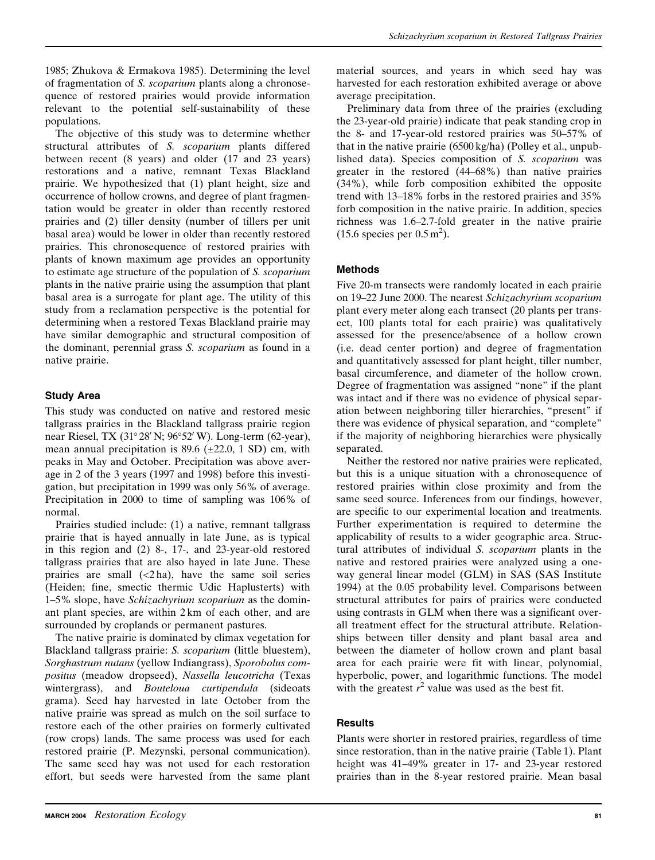1985; Zhukova & Ermakova 1985). Determining the level of fragmentation of S. scoparium plants along a chronosequence of restored prairies would provide information relevant to the potential self-sustainability of these populations.

The objective of this study was to determine whether structural attributes of S. scoparium plants differed between recent (8 years) and older (17 and 23 years) restorations and a native, remnant Texas Blackland prairie. We hypothesized that (1) plant height, size and occurrence of hollow crowns, and degree of plant fragmentation would be greater in older than recently restored prairies and (2) tiller density (number of tillers per unit basal area) would be lower in older than recently restored prairies. This chronosequence of restored prairies with plants of known maximum age provides an opportunity to estimate age structure of the population of S. scoparium plants in the native prairie using the assumption that plant basal area is a surrogate for plant age. The utility of this study from a reclamation perspective is the potential for determining when a restored Texas Blackland prairie may have similar demographic and structural composition of the dominant, perennial grass S. scoparium as found in a native prairie.

# Study Area

This study was conducted on native and restored mesic tallgrass prairies in the Blackland tallgrass prairie region near Riesel, TX (31° 28' N; 96° 52' W). Long-term (62-year), mean annual precipitation is 89.6 ( $\pm$ 22.0, 1 SD) cm, with peaks in May and October. Precipitation was above average in 2 of the 3 years (1997 and 1998) before this investigation, but precipitation in 1999 was only 56% of average. Precipitation in 2000 to time of sampling was 106% of normal.

Prairies studied include: (1) a native, remnant tallgrass prairie that is hayed annually in late June, as is typical in this region and (2) 8-, 17-, and 23-year-old restored tallgrass prairies that are also hayed in late June. These prairies are small  $(\langle 2 \text{ ha} \rangle)$ , have the same soil series (Heiden; fine, smectic thermic Udic Haplusterts) with 15% slope, have Schizachyrium scoparium as the dominant plant species, are within 2 km of each other, and are surrounded by croplands or permanent pastures.

The native prairie is dominated by climax vegetation for Blackland tallgrass prairie: S. scoparium (little bluestem), Sorghastrum nutans (yellow Indiangrass), Sporobolus compositus (meadow dropseed), Nassella leucotricha (Texas wintergrass), and *Bouteloua curtipendula* (sideoats grama). Seed hay harvested in late October from the native prairie was spread as mulch on the soil surface to restore each of the other prairies on formerly cultivated (row crops) lands. The same process was used for each restored prairie (P. Mezynski, personal communication). The same seed hay was not used for each restoration effort, but seeds were harvested from the same plant

material sources, and years in which seed hay was harvested for each restoration exhibited average or above average precipitation.

Preliminary data from three of the prairies (excluding the 23-year-old prairie) indicate that peak standing crop in the 8- and 17-year-old restored prairies was  $50-57\%$  of that in the native prairie (6500 kg/ha) (Polley et al., unpublished data). Species composition of S. scoparium was greater in the restored  $(44–68%)$  than native prairies (34%), while forb composition exhibited the opposite trend with 13-18% forbs in the restored prairies and 35% forb composition in the native prairie. In addition, species richness was 1.6-2.7-fold greater in the native prairie  $(15.6 \text{ species per } 0.5 \text{ m}^2).$ 

# Methods

Five 20-m transects were randomly located in each prairie on 1922 June 2000. The nearest Schizachyrium scoparium plant every meter along each transect (20 plants per transect, 100 plants total for each prairie) was qualitatively assessed for the presence/absence of a hollow crown (i.e. dead center portion) and degree of fragmentation and quantitatively assessed for plant height, tiller number, basal circumference, and diameter of the hollow crown. Degree of fragmentation was assigned "none" if the plant was intact and if there was no evidence of physical separation between neighboring tiller hierarchies, ''present'' if there was evidence of physical separation, and ''complete'' if the majority of neighboring hierarchies were physically separated.

Neither the restored nor native prairies were replicated, but this is a unique situation with a chronosequence of restored prairies within close proximity and from the same seed source. Inferences from our findings, however, are specific to our experimental location and treatments. Further experimentation is required to determine the applicability of results to a wider geographic area. Structural attributes of individual S. scoparium plants in the native and restored prairies were analyzed using a oneway general linear model (GLM) in SAS (SAS Institute 1994) at the 0.05 probability level. Comparisons between structural attributes for pairs of prairies were conducted using contrasts in GLM when there was a significant overall treatment effect for the structural attribute. Relationships between tiller density and plant basal area and between the diameter of hollow crown and plant basal area for each prairie were fit with linear, polynomial, hyperbolic, power, and logarithmic functions. The model with the greatest  $r^2$  value was used as the best fit.

### **Results**

Plants were shorter in restored prairies, regardless of time since restoration, than in the native prairie (Table 1). Plant height was 41-49% greater in 17- and 23-year restored prairies than in the 8-year restored prairie. Mean basal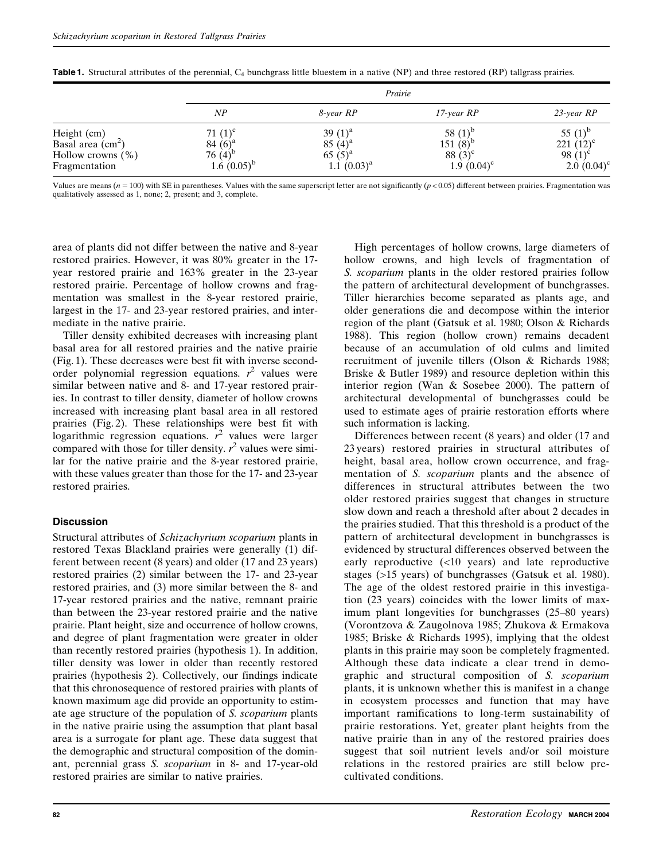|                                                                             | Prairie                                                     |                                                             |                                                             |                                                              |
|-----------------------------------------------------------------------------|-------------------------------------------------------------|-------------------------------------------------------------|-------------------------------------------------------------|--------------------------------------------------------------|
|                                                                             | NP                                                          | 8-year RP                                                   | $17$ -year $RP$                                             | $23$ -year $RP$                                              |
| Height (cm)<br>Basal area $(cm2)$<br>Hollow crowns $(\% )$<br>Fragmentation | 71 $(1)^c$<br>84 $(6)^a$<br>76 $(4)^{e}$<br>$1.6(0.05)^{b}$ | 39 $(1)^a$<br>85 $(4)^a$<br>$65(5)^{a}$<br>$1.1~(0.03)^{a}$ | 58 $(1)^{b}$<br>$151(8)^{o}$<br>88 $(3)^c$<br>$1.9(0.04)^c$ | 55 $(1)^{b}$<br>221 $(12)^c$<br>98 $(1)^c$<br>$2.0~(0.04)^c$ |

Table 1. Structural attributes of the perennial, C<sub>4</sub> bunchgrass little bluestem in a native (NP) and three restored (RP) tallgrass prairies.

Values are means ( $n = 100$ ) with SE in parentheses. Values with the same superscript letter are not significantly ( $p < 0.05$ ) different between prairies. Fragmentation was qualitatively assessed as 1, none; 2, present; and 3, complete.

area of plants did not differ between the native and 8-year restored prairies. However, it was 80% greater in the 17 year restored prairie and 163% greater in the 23-year restored prairie. Percentage of hollow crowns and fragmentation was smallest in the 8-year restored prairie, largest in the 17- and 23-year restored prairies, and intermediate in the native prairie.

Tiller density exhibited decreases with increasing plant basal area for all restored prairies and the native prairie (Fig. 1). These decreases were best fit with inverse secondorder polynomial regression equations.  $r^2$  values were similar between native and 8- and 17-year restored prairies. In contrast to tiller density, diameter of hollow crowns increased with increasing plant basal area in all restored prairies (Fig. 2). These relationships were best fit with logarithmic regression equations.  $r^2$  values were larger compared with those for tiller density.  $r^2$  values were similar for the native prairie and the 8-year restored prairie, with these values greater than those for the 17- and 23-year restored prairies.

### **Discussion**

Structural attributes of Schizachyrium scoparium plants in restored Texas Blackland prairies were generally (1) different between recent (8 years) and older (17 and 23 years) restored prairies (2) similar between the 17- and 23-year restored prairies, and (3) more similar between the 8- and 17-year restored prairies and the native, remnant prairie than between the 23-year restored prairie and the native prairie. Plant height, size and occurrence of hollow crowns, and degree of plant fragmentation were greater in older than recently restored prairies (hypothesis 1). In addition, tiller density was lower in older than recently restored prairies (hypothesis 2). Collectively, our findings indicate that this chronosequence of restored prairies with plants of known maximum age did provide an opportunity to estimate age structure of the population of S. scoparium plants in the native prairie using the assumption that plant basal area is a surrogate for plant age. These data suggest that the demographic and structural composition of the dominant, perennial grass S. scoparium in 8- and 17-year-old restored prairies are similar to native prairies.

High percentages of hollow crowns, large diameters of hollow crowns, and high levels of fragmentation of S. scoparium plants in the older restored prairies follow the pattern of architectural development of bunchgrasses. Tiller hierarchies become separated as plants age, and older generations die and decompose within the interior region of the plant (Gatsuk et al. 1980; Olson & Richards 1988). This region (hollow crown) remains decadent because of an accumulation of old culms and limited recruitment of juvenile tillers (Olson & Richards 1988; Briske & Butler 1989) and resource depletion within this interior region (Wan & Sosebee 2000). The pattern of architectural developmental of bunchgrasses could be used to estimate ages of prairie restoration efforts where such information is lacking.

Differences between recent (8 years) and older (17 and 23 years) restored prairies in structural attributes of height, basal area, hollow crown occurrence, and fragmentation of S. *scoparium* plants and the absence of differences in structural attributes between the two older restored prairies suggest that changes in structure slow down and reach a threshold after about 2 decades in the prairies studied. That this threshold is a product of the pattern of architectural development in bunchgrasses is evidenced by structural differences observed between the early reproductive (<10 years) and late reproductive stages (>15 years) of bunchgrasses (Gatsuk et al. 1980). The age of the oldest restored prairie in this investigation (23 years) coincides with the lower limits of maximum plant longevities for bunchgrasses (25–80 years) (Vorontzova & Zaugolnova 1985; Zhukova & Ermakova 1985; Briske & Richards 1995), implying that the oldest plants in this prairie may soon be completely fragmented. Although these data indicate a clear trend in demographic and structural composition of S. scoparium plants, it is unknown whether this is manifest in a change in ecosystem processes and function that may have important ramifications to long-term sustainability of prairie restorations. Yet, greater plant heights from the native prairie than in any of the restored prairies does suggest that soil nutrient levels and/or soil moisture relations in the restored prairies are still below precultivated conditions.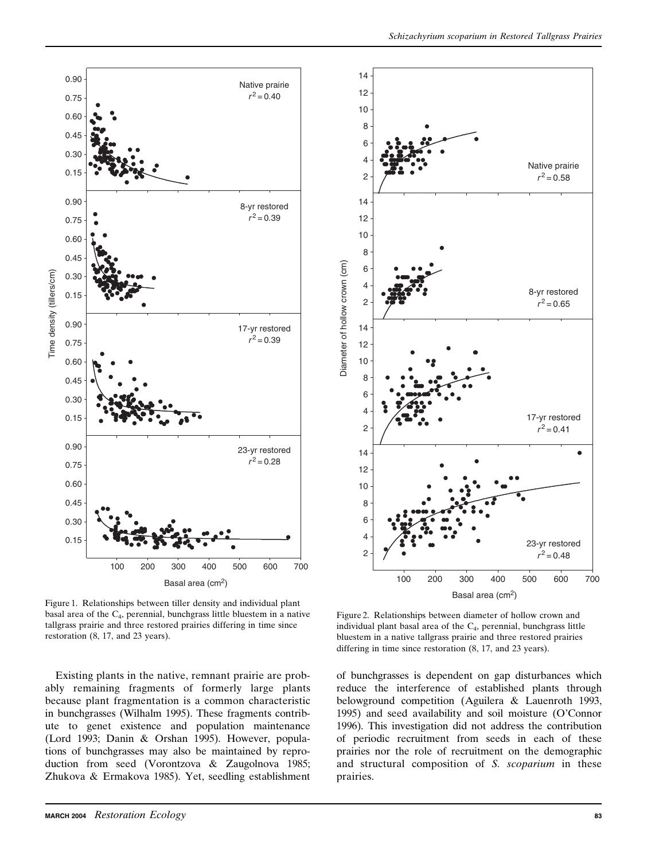

14 12 10 8 6 4 Native prairie 2  $r^2 = 0.58$ 14 12 10 8 Diameter of hollow crown (cm) Diameter of hollow crown (cm) 6 4 8-yr restored 2  $r^2$  = 0.65 14 12 10 8 6 4 17-yr restored 2  $r^2 = 0.41$ 14 12 10 8 6 4 23-yr restored 2  $r^2 = 0.48$ 100 200 300 400 500 600 700 Basal area (cm<sup>2</sup>)

Figure 1. Relationships between tiller density and individual plant basal area of the C4, perennial, bunchgrass little bluestem in a native tallgrass prairie and three restored prairies differing in time since restoration (8, 17, and 23 years).

Existing plants in the native, remnant prairie are probably remaining fragments of formerly large plants because plant fragmentation is a common characteristic in bunchgrasses (Wilhalm 1995). These fragments contribute to genet existence and population maintenance (Lord 1993; Danin & Orshan 1995). However, populations of bunchgrasses may also be maintained by reproduction from seed (Vorontzova & Zaugolnova 1985; Zhukova & Ermakova 1985). Yet, seedling establishment

Figure 2. Relationships between diameter of hollow crown and individual plant basal area of the  $C_4$ , perennial, bunchgrass little bluestem in a native tallgrass prairie and three restored prairies differing in time since restoration (8, 17, and 23 years).

of bunchgrasses is dependent on gap disturbances which reduce the interference of established plants through belowground competition (Aguilera & Lauenroth 1993, 1995) and seed availability and soil moisture (O'Connor 1996). This investigation did not address the contribution of periodic recruitment from seeds in each of these prairies nor the role of recruitment on the demographic and structural composition of S. scoparium in these prairies.